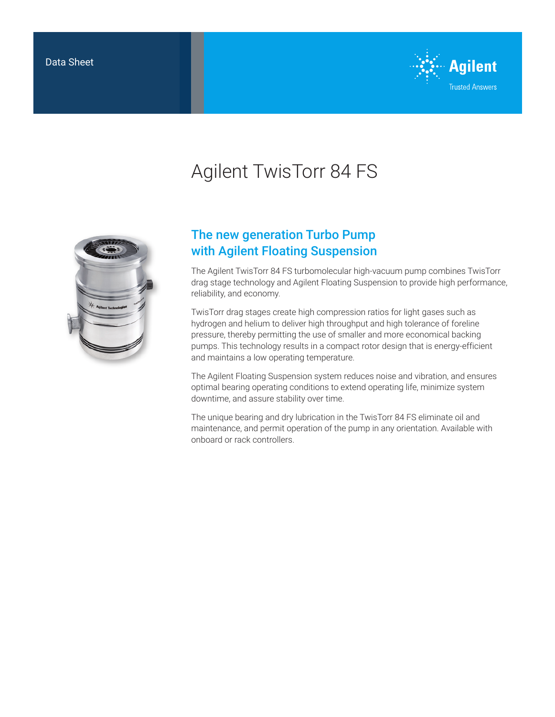

# Agilent TwisTorr 84 FS



## The new generation Turbo Pump with Agilent Floating Suspension

The Agilent TwisTorr 84 FS turbomolecular high-vacuum pump combines TwisTorr drag stage technology and Agilent Floating Suspension to provide high performance, reliability, and economy.

TwisTorr drag stages create high compression ratios for light gases such as hydrogen and helium to deliver high throughput and high tolerance of foreline pressure, thereby permitting the use of smaller and more economical backing pumps. This technology results in a compact rotor design that is energy-efficient and maintains a low operating temperature.

The Agilent Floating Suspension system reduces noise and vibration, and ensures optimal bearing operating conditions to extend operating life, minimize system downtime, and assure stability over time.

The unique bearing and dry lubrication in the TwisTorr 84 FS eliminate oil and maintenance, and permit operation of the pump in any orientation. Available with onboard or rack controllers.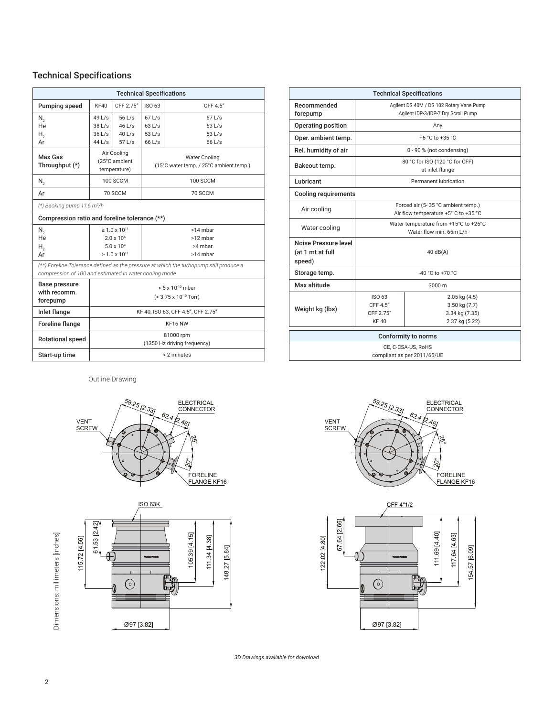#### Technical Specifications

| <b>Technical Specifications</b>                                                        |                                    |                           |                                         |          |  |  |
|----------------------------------------------------------------------------------------|------------------------------------|---------------------------|-----------------------------------------|----------|--|--|
| Pumping speed                                                                          | KF40                               | CFF 2.75"                 | ISO 63                                  | CFF 4.5" |  |  |
| N,                                                                                     | 49 L/s                             | 56 L/s                    | $67$ L/s                                | $67$ L/s |  |  |
| He                                                                                     | 38 L/s                             | $46$ L/s                  | $63$ L/s                                | $63$ L/s |  |  |
| Н.,                                                                                    | $36$ L/s                           | $40$ L/s                  | 53 L/s                                  | 53 L/s   |  |  |
| Ar                                                                                     | 44 L/s                             | $57$ L/s                  | 66 L/s                                  | 66 L/s   |  |  |
| Max Gas                                                                                | Air Cooling                        |                           | <b>Water Cooling</b>                    |          |  |  |
| Throughput (*)                                                                         | (25°C ambient                      |                           | (15°C water temp. / 25°C ambient temp.) |          |  |  |
|                                                                                        |                                    | temperature)              |                                         |          |  |  |
| $N_{2}$                                                                                |                                    | <b>100 SCCM</b>           |                                         | 100 SCCM |  |  |
| Ar                                                                                     | 70 SCCM                            |                           | 70 SCCM                                 |          |  |  |
| $(*)$ Backing pump 11.6 m <sup>3</sup> /h                                              |                                    |                           |                                         |          |  |  |
| Compression ratio and foreline tolerance (**)                                          |                                    |                           |                                         |          |  |  |
| N,                                                                                     |                                    | $\geq 1.0 \times 10^{11}$ |                                         | >14 mbar |  |  |
| He                                                                                     |                                    | $2.0 \times 10^{6}$       |                                         | >12 mbar |  |  |
| Н.,                                                                                    | $5.0 \times 10^{4}$                |                           | >4 mbar                                 |          |  |  |
| Ar                                                                                     |                                    | $> 1.0 \times 10^{11}$    |                                         | >14 mbar |  |  |
| (**) Foreline Tolerance defined as the pressure at which the turbopump still produce a |                                    |                           |                                         |          |  |  |
| compression of 100 and estimated in water cooling mode                                 |                                    |                           |                                         |          |  |  |
| Base pressure                                                                          | $< 5 \times 10^{-10}$ mbar         |                           |                                         |          |  |  |
| with recomm.                                                                           | $(< 3.75 \times 10^{-10}$ Torr)    |                           |                                         |          |  |  |
| forepump                                                                               |                                    |                           |                                         |          |  |  |
| Inlet flange                                                                           | KF 40, ISO 63, CFF 4.5", CFF 2.75" |                           |                                         |          |  |  |
| Foreline flange                                                                        | KF16 NW                            |                           |                                         |          |  |  |
| Rotational speed                                                                       | 81000 rpm                          |                           |                                         |          |  |  |
|                                                                                        | (1350 Hz driving frequency)        |                           |                                         |          |  |  |
| Start-up time                                                                          | < 2 minutes                        |                           |                                         |          |  |  |

| <b>Technical Specifications</b>                    |                                                                                 |                                                                        |  |  |  |  |
|----------------------------------------------------|---------------------------------------------------------------------------------|------------------------------------------------------------------------|--|--|--|--|
| Recommended<br>forepump                            | Agilent DS 40M / DS 102 Rotary Vane Pump<br>Agilent IDP-3/IDP-7 Dry Scroll Pump |                                                                        |  |  |  |  |
| Operating position                                 | Any                                                                             |                                                                        |  |  |  |  |
| Oper. ambient temp.                                | +5 $^{\circ}$ C to +35 $^{\circ}$ C                                             |                                                                        |  |  |  |  |
| Rel. humidity of air                               | 0 - 90 % (not condensing)                                                       |                                                                        |  |  |  |  |
| Bakeout temp.                                      | 80 °C for ISO (120 °C for CFF)<br>at inlet flange                               |                                                                        |  |  |  |  |
| Lubricant                                          | Permanent lubrication                                                           |                                                                        |  |  |  |  |
| <b>Cooling requirements</b>                        |                                                                                 |                                                                        |  |  |  |  |
| Air cooling                                        | Forced air (5-35 °C ambient temp.)<br>Air flow temperature +5° C to +35 °C      |                                                                        |  |  |  |  |
| Water cooling                                      | Water temperature from +15°C to +25°C<br>Water flow min. 65m L/h                |                                                                        |  |  |  |  |
| Noise Pressure level<br>(at 1 mt at full<br>speed) | $40 \text{ dB}(A)$                                                              |                                                                        |  |  |  |  |
| Storage temp.                                      | $-40 °C$ to $+70 °C$                                                            |                                                                        |  |  |  |  |
| Max altitude                                       | $3000 \text{ m}$                                                                |                                                                        |  |  |  |  |
| Weight kg (lbs)                                    | ISO 63<br>CFF 4.5"<br>CFF 2.75"<br><b>KF40</b>                                  | $2.05$ kg $(4.5)$<br>3.50 kg (7.7)<br>3.34 kg (7.35)<br>2.37 kg (5.22) |  |  |  |  |
| Conformity to norms                                |                                                                                 |                                                                        |  |  |  |  |
| CE, C-CSA-US, RoHS<br>compliant as per 2011/65/UE  |                                                                                 |                                                                        |  |  |  |  |

Outline Drawing









*3D Drawings available for download*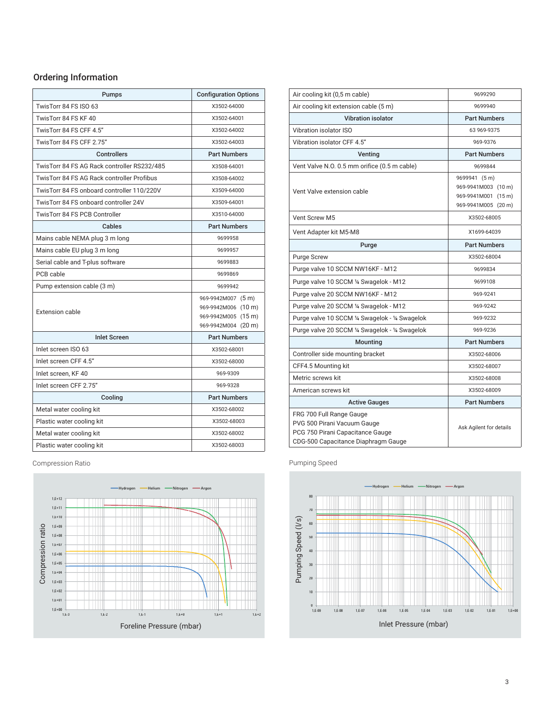### Ordering Information

| Pumps                                       | <b>Configuration Options</b>                                                            |
|---------------------------------------------|-----------------------------------------------------------------------------------------|
| TwisTorr 84 FS ISO 63                       | X3502-64000                                                                             |
| TwisTorr 84 FS KF 40                        | X3502-64001                                                                             |
| TwisTorr 84 FS CFF 4.5"                     | X3502-64002                                                                             |
| TwisTorr 84 FS CFF 2.75"                    | X3502-64003                                                                             |
| <b>Controllers</b>                          | <b>Part Numbers</b>                                                                     |
| TwisTorr 84 FS AG Rack controller RS232/485 | X3508-64001                                                                             |
| TwisTorr 84 FS AG Rack controller Profibus  | X3508-64002                                                                             |
| TwisTorr 84 FS onboard controller 110/220V  | X3509-64000                                                                             |
| TwisTorr 84 FS onboard controller 24V       | X3509-64001                                                                             |
| TwisTorr 84 FS PCB Controller               | X3510-64000                                                                             |
| Cables                                      | <b>Part Numbers</b>                                                                     |
| Mains cable NEMA plug 3 m long              | 9699958                                                                                 |
| Mains cable EU plug 3 m long                | 9699957                                                                                 |
| Serial cable and T-plus software            | 9699883                                                                                 |
| PCB cable                                   | 9699869                                                                                 |
| Pump extension cable (3 m)                  | 9699942                                                                                 |
| Extension cable                             | 969-9942M007 (5 m)<br>969-9942M006 (10 m)<br>969-9942M005 (15 m)<br>969-9942M004 (20 m) |
| <b>Inlet Screen</b>                         | <b>Part Numbers</b>                                                                     |
| Inlet screen ISO 63                         | X3502-68001                                                                             |
| Inlet screen CFF 4.5"                       | X3502-68000                                                                             |
| Inlet screen, KF 40                         | 969-9309                                                                                |
| Inlet screen CFF 2.75"                      | 969-9328                                                                                |
| Cooling                                     | <b>Part Numbers</b>                                                                     |
| Metal water cooling kit                     | X3502-68002                                                                             |
| Plastic water cooling kit                   | X3502-68003                                                                             |
| Metal water cooling kit                     | X3502-68002                                                                             |
| Plastic water cooling kit                   | X3502-68003                                                                             |

Compression Ratio **Pumping Speed** 



| Air cooling kit (0,5 m cable)                                                                                                      | 9699290                                                                            |
|------------------------------------------------------------------------------------------------------------------------------------|------------------------------------------------------------------------------------|
| Air cooling kit extension cable (5 m)                                                                                              | 9699940                                                                            |
| Vibration isolator                                                                                                                 | <b>Part Numbers</b>                                                                |
| Vibration isolator ISO                                                                                                             | 63 969-9375                                                                        |
| Vibration isolator CFF 4.5"                                                                                                        | 969-9376                                                                           |
| Venting                                                                                                                            | <b>Part Numbers</b>                                                                |
| Vent Valve N.O. 0.5 mm orifice (0.5 m cable)                                                                                       | 9699844                                                                            |
| Vent Valve extension cable                                                                                                         | 9699941 (5 m)<br>969-9941M003 (10 m)<br>969-9941M001 (15 m)<br>969-9941M005 (20 m) |
| Vent Screw M5                                                                                                                      | X3502-68005                                                                        |
| Vent Adapter kit M5-M8                                                                                                             | X1699-64039                                                                        |
| Purge                                                                                                                              | <b>Part Numbers</b>                                                                |
| <b>Purge Screw</b>                                                                                                                 | X3502-68004                                                                        |
| Purge valve 10 SCCM NW16KF - M12                                                                                                   | 9699834                                                                            |
| Purge valve 10 SCCM 1/4 Swagelok - M12                                                                                             | 9699108                                                                            |
| Purge valve 20 SCCM NW16KF - M12                                                                                                   | 969-9241                                                                           |
| Purge valve 20 SCCM 1/4 Swagelok - M12                                                                                             | 969-9242                                                                           |
| Purge valve 10 SCCM 1/4 Swagelok - 1/4 Swagelok                                                                                    | 969-9232                                                                           |
| Purge valve 20 SCCM 1/4 Swagelok - 1/4 Swagelok                                                                                    | 969-9236                                                                           |
| Mounting                                                                                                                           | <b>Part Numbers</b>                                                                |
| Controller side mounting bracket                                                                                                   | X3502-68006                                                                        |
| CFF4.5 Mounting kit                                                                                                                | X3502-68007                                                                        |
| Metric screws kit                                                                                                                  | X3502-68008                                                                        |
| American screws kit                                                                                                                | X3502-68009                                                                        |
| <b>Active Gauges</b>                                                                                                               | <b>Part Numbers</b>                                                                |
| FRG 700 Full Range Gauge<br>PVG 500 Pirani Vacuum Gauge<br>PCG 750 Pirani Capacitance Gauge<br>CDG-500 Capacitance Diaphragm Gauge | Ask Agilent for details                                                            |